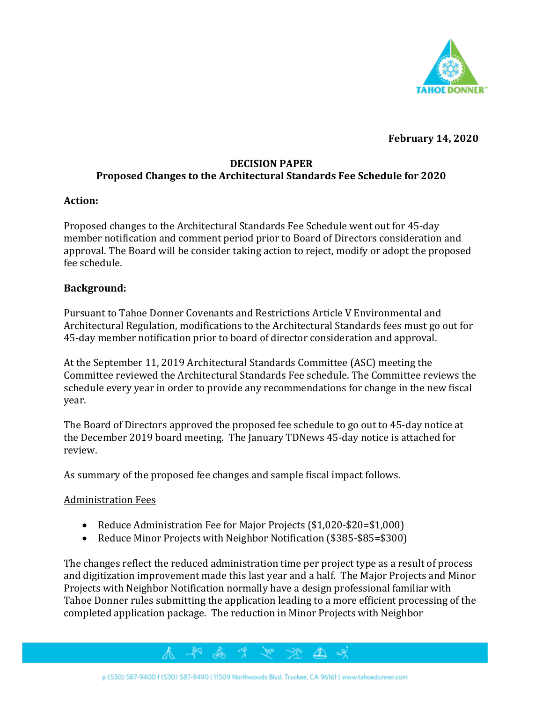

**February 14, 2020**

# **DECISION PAPER Proposed Changes to the Architectural Standards Fee Schedule for 2020**

## **Action:**

Proposed changes to the Architectural Standards Fee Schedule went out for 45-day member notification and comment period prior to Board of Directors consideration and approval. The Board will be consider taking action to reject, modify or adopt the proposed fee schedule.

# **Background:**

Pursuant to Tahoe Donner Covenants and Restrictions Article V Environmental and Architectural Regulation, modifications to the Architectural Standards fees must go out for 45-day member notification prior to board of director consideration and approval.

At the September 11, 2019 Architectural Standards Committee (ASC) meeting the Committee reviewed the Architectural Standards Fee schedule. The Committee reviews the schedule every year in order to provide any recommendations for change in the new fiscal year.

The Board of Directors approved the proposed fee schedule to go out to 45-day notice at the December 2019 board meeting. The January TDNews 45-day notice is attached for review.

As summary of the proposed fee changes and sample fiscal impact follows.

#### Administration Fees

- Reduce Administration Fee for Major Projects (\$1,020-\$20=\$1,000)
- Reduce Minor Projects with Neighbor Notification (\$385-\$85=\$300)

The changes reflect the reduced administration time per project type as a result of process and digitization improvement made this last year and a half. The Major Projects and Minor Projects with Neighbor Notification normally have a design professional familiar with Tahoe Donner rules submitting the application leading to a more efficient processing of the completed application package. The reduction in Minor Projects with Neighbor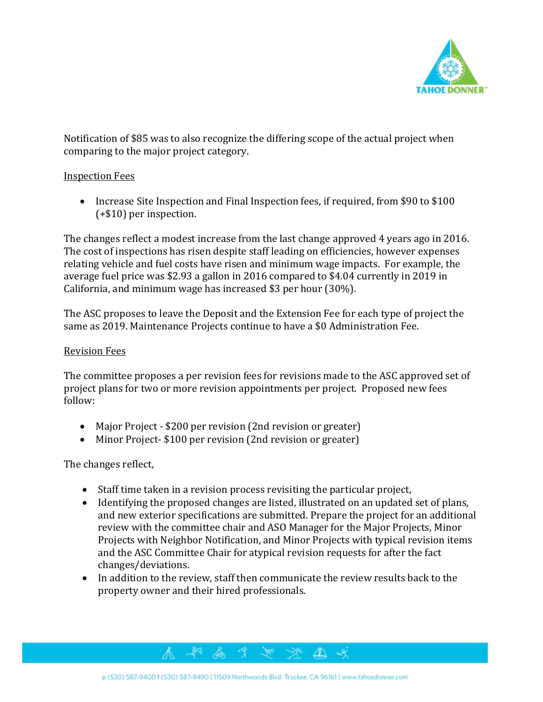

Notification of \$85 was to also recognize the differing scope of the actual project when comparing to the major project category.

# Inspection Fees

• Increase Site Inspection and Final Inspection fees, if required, from \$90 to \$100 (+\$10) per inspection.

The changes reflect a modest increase from the last change approved 4 years ago in 2016. The cost of inspections has risen despite staff leading on efficiencies, however expenses relating vehicle and fuel costs have risen and minimum wage impacts. For example, the average fuel price was \$2.93 a gallon in 2016 compared to \$4.04 currently in 2019 in California, and minimum wage has increased \$3 per hour (30%).

The ASC proposes to leave the Deposit and the Extension Fee for each type of project the same as 2019. Maintenance Projects continue to have a \$0 Administration Fee.

## Revision Fees

The committee proposes a per revision fees for revisions made to the ASC approved set of project plans for two or more revision appointments per project. Proposed new fees follow:

- Major Project \$200 per revision (2nd revision or greater)
- Minor Project- \$100 per revision (2nd revision or greater)

The changes reflect,

- Staff time taken in a revision process revisiting the particular project,
- Identifying the proposed changes are listed, illustrated on an updated set of plans, and new exterior specifications are submitted. Prepare the project for an additional review with the committee chair and ASO Manager for the Major Projects, Minor Projects with Neighbor Notification, and Minor Projects with typical revision items and the ASC Committee Chair for atypical revision requests for after the fact changes/deviations.
- In addition to the review, staff then communicate the review results back to the property owner and their hired professionals.

 $\Delta$ 

48 F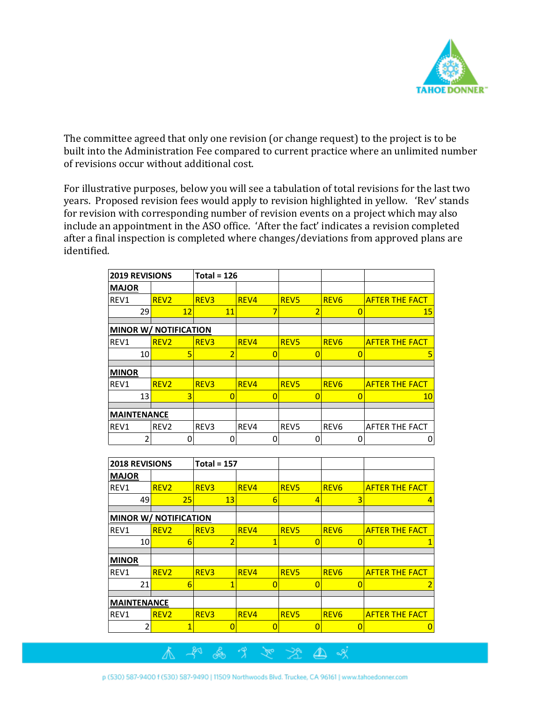

The committee agreed that only one revision (or change request) to the project is to be built into the Administration Fee compared to current practice where an unlimited number of revisions occur without additional cost.

For illustrative purposes, below you will see a tabulation of total revisions for the last two years. Proposed revision fees would apply to revision highlighted in yellow. 'Rev' stands for revision with corresponding number of revision events on a project which may also include an appointment in the ASO office. 'After the fact' indicates a revision completed after a final inspection is completed where changes/deviations from approved plans are identified.

| 2019 REVISIONS               |                  | Total = $126$    |                |                  |                  |                       |
|------------------------------|------------------|------------------|----------------|------------------|------------------|-----------------------|
| <b>MAJOR</b>                 |                  |                  |                |                  |                  |                       |
| REV1                         | REV <sub>2</sub> | REV <sub>3</sub> | REV4           | REV <sub>5</sub> | REV <sub>6</sub> | <b>AFTER THE FACT</b> |
| 29                           | 12               | 11               | $\overline{7}$ | $\overline{2}$   | $\overline{0}$   | 15                    |
| <b>MINOR W/ NOTIFICATION</b> |                  |                  |                |                  |                  |                       |
| REV1                         | REV <sub>2</sub> | REV <sub>3</sub> | REV4           | REV <sub>5</sub> | REV <sub>6</sub> | <b>AFTER THE FACT</b> |
| 10                           | 5                | $\overline{2}$   | $\overline{0}$ | $\overline{0}$   | $\Omega$         | 5                     |
| <b>MINOR</b>                 |                  |                  |                |                  |                  |                       |
| REV1                         | REV <sub>2</sub> | REV <sub>3</sub> | REV4           | REV <sub>5</sub> | REV <sub>6</sub> | <b>AFTER THE FACT</b> |
| 13                           | 3                | $\overline{0}$   | $\overline{0}$ | $\overline{0}$   | $\overline{0}$   | 10                    |
| <b>IMAINTENANCE</b>          |                  |                  |                |                  |                  |                       |
| REV1                         | REV <sub>2</sub> | REV3             | REV4           | REV5             | REV <sub>6</sub> | AFTER THE FACT        |
| $\overline{2}$               | 0                | 0                | 0              | 0                | 0                | 0                     |
|                              |                  |                  |                |                  |                  |                       |
| 2018 REVISIONS               |                  | Total = $157$    |                |                  |                  |                       |
| <b>MAJOR</b>                 |                  |                  |                |                  |                  |                       |
| REV1                         | REV <sub>2</sub> | REV <sub>3</sub> | REV4           | REV <sub>5</sub> | REV <sub>6</sub> | <b>AFTER THE FACT</b> |
| 49                           | 25               | 13               | 6              | 4                | 3                | 4                     |
| <b>MINOR W/ NOTIFICATION</b> |                  |                  |                |                  |                  |                       |
| REV1                         | REV <sub>2</sub> | REV <sub>3</sub> | REV4           | REV <sub>5</sub> | REV <sub>6</sub> | <b>AFTER THE FACT</b> |
| 10                           | 6                | $\overline{2}$   | $\overline{1}$ | $\overline{0}$   | $\overline{0}$   |                       |
| <b>MINOR</b>                 |                  |                  |                |                  |                  |                       |
|                              |                  |                  |                |                  |                  |                       |

 $\mathbb{R}^{\circ}$ 

⚠

≪

 $\hat{\mathcal{A}}$ 

Ѧ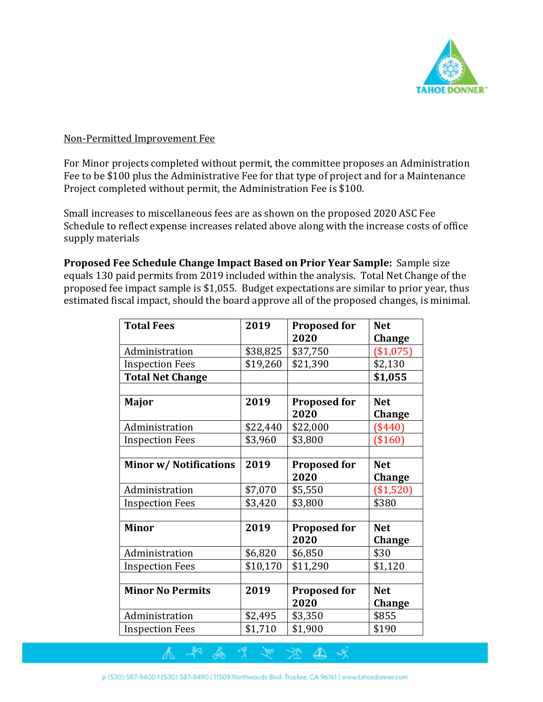

## Non-Permitted Improvement Fee

For Minor projects completed without permit, the committee proposes an Administration Fee to be \$100 plus the Administrative Fee for that type of project and for a Maintenance Project completed without permit, the Administration Fee is \$100.

Small increases to miscellaneous fees are as shown on the proposed 2020 ASC Fee Schedule to reflect expense increases related above along with the increase costs of office supply materials

**Proposed Fee Schedule Change Impact Based on Prior Year Sample:** Sample size equals 130 paid permits from 2019 included within the analysis. Total Net Change of the proposed fee impact sample is \$1,055. Budget expectations are similar to prior year, thus estimated fiscal impact, should the board approve all of the proposed changes, is minimal.

| <b>Total Fees</b>             | 2019     | <b>Proposed for</b> | <b>Net</b>    |
|-------------------------------|----------|---------------------|---------------|
|                               |          | 2020                | <b>Change</b> |
| Administration                | \$38,825 | \$37,750            | (\$1,075)     |
| <b>Inspection Fees</b>        | \$19,260 | \$21,390            | \$2,130       |
| <b>Total Net Change</b>       |          |                     | \$1,055       |
|                               |          |                     |               |
| Major                         | 2019     | <b>Proposed for</b> | <b>Net</b>    |
|                               |          | 2020                | Change        |
| Administration                | \$22,440 | \$22,000            | $(\$440)$     |
| <b>Inspection Fees</b>        | \$3,960  | \$3,800             | $(\$160)$     |
|                               |          |                     |               |
| <b>Minor w/ Notifications</b> | 2019     | <b>Proposed for</b> | <b>Net</b>    |
|                               |          | 2020                | Change        |
| Administration                | \$7,070  | \$5,550             | (\$1,520)     |
| <b>Inspection Fees</b>        | \$3,420  | \$3,800             | \$380         |
|                               |          |                     |               |
| <b>Minor</b>                  | 2019     | <b>Proposed for</b> | <b>Net</b>    |
|                               |          | 2020                | <b>Change</b> |
| Administration                | \$6,820  | \$6,850             | \$30          |
| <b>Inspection Fees</b>        | \$10,170 | \$11,290            | \$1,120       |
|                               |          |                     |               |
| <b>Minor No Permits</b>       | 2019     | <b>Proposed for</b> | <b>Net</b>    |
|                               |          | 2020                | <b>Change</b> |
| Administration                | \$2,495  | \$3,350             | \$855         |
| <b>Inspection Fees</b>        | \$1,710  | \$1,900             | \$190         |

্যুত

 $\Delta$ 

& 9

Å.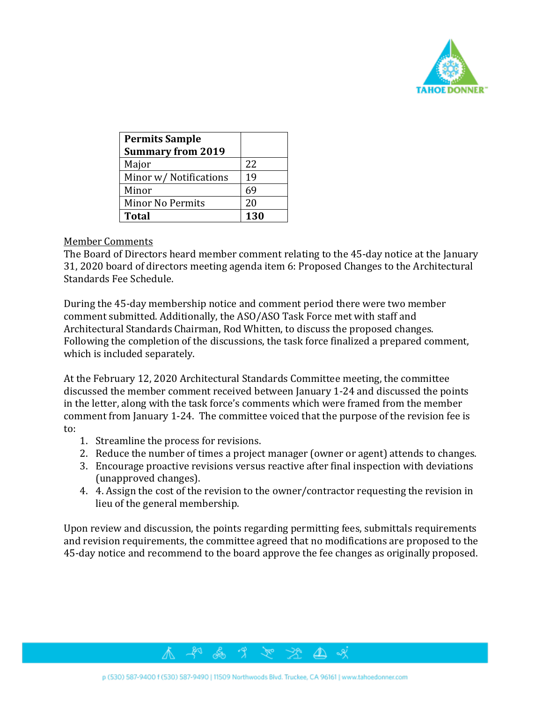

| <b>Permits Sample</b>    |     |
|--------------------------|-----|
| <b>Summary from 2019</b> |     |
| Major                    | 22  |
| Minor w/ Notifications   | 19  |
| Minor                    | 69  |
| <b>Minor No Permits</b>  | 20  |
| <b>Total</b>             | 130 |

#### Member Comments

The Board of Directors heard member comment relating to the 45-day notice at the January 31, 2020 board of directors meeting agenda item 6: Proposed Changes to the Architectural Standards Fee Schedule.

During the 45-day membership notice and comment period there were two member comment submitted. Additionally, the ASO/ASO Task Force met with staff and Architectural Standards Chairman, Rod Whitten, to discuss the proposed changes. Following the completion of the discussions, the task force finalized a prepared comment, which is included separately.

At the February 12, 2020 Architectural Standards Committee meeting, the committee discussed the member comment received between January 1-24 and discussed the points in the letter, along with the task force's comments which were framed from the member comment from January 1-24. The committee voiced that the purpose of the revision fee is to:

- 1. Streamline the process for revisions.
- 2. Reduce the number of times a project manager (owner or agent) attends to changes.
- 3. Encourage proactive revisions versus reactive after final inspection with deviations (unapproved changes).
- 4. 4. Assign the cost of the revision to the owner/contractor requesting the revision in lieu of the general membership.

Upon review and discussion, the points regarding permitting fees, submittals requirements and revision requirements, the committee agreed that no modifications are proposed to the 45-day notice and recommend to the board approve the fee changes as originally proposed.